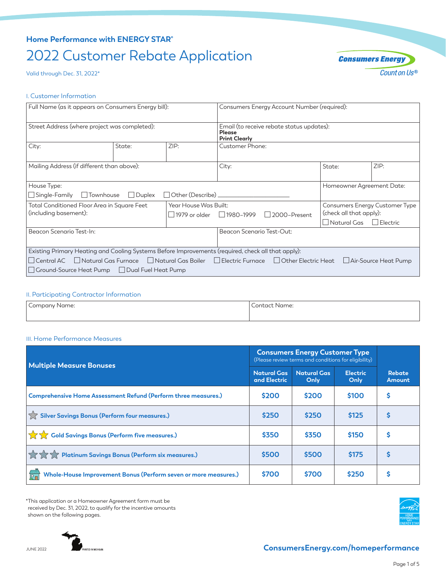## **Home Performance with ENERGY STAR®**

# 2022 Customer Rebate Application

Valid through Dec. 31, 2022\*



#### I. Customer Information

| Full Name (as it appears on Consumers Energy bill):                                                                                                                         |      | Consumers Energy Account Number (required):                                        |                                                                                        |                                                                                                    |                         |  |
|-----------------------------------------------------------------------------------------------------------------------------------------------------------------------------|------|------------------------------------------------------------------------------------|----------------------------------------------------------------------------------------|----------------------------------------------------------------------------------------------------|-------------------------|--|
| Street Address (where project was completed):                                                                                                                               |      | Email (to receive rebate status updates):<br><b>Please</b><br><b>Print Clearly</b> |                                                                                        |                                                                                                    |                         |  |
| State:                                                                                                                                                                      | ZIP: | Customer Phone:                                                                    |                                                                                        |                                                                                                    |                         |  |
| Mailing Address (if different than above):                                                                                                                                  |      | City:                                                                              |                                                                                        | State:                                                                                             | ZIP:                    |  |
| House Type:                                                                                                                                                                 |      | Homeowner Agreement Date:                                                          |                                                                                        |                                                                                                    |                         |  |
| $\Box$ Single-Family $\Box$ Townhouse<br>Duplex                                                                                                                             |      |                                                                                    |                                                                                        |                                                                                                    |                         |  |
| Total Conditioned Floor Area in Square Feet                                                                                                                                 |      |                                                                                    |                                                                                        | Consumers Energy Customer Type                                                                     |                         |  |
| (including basement):                                                                                                                                                       |      |                                                                                    | □ 2000-Present                                                                         |                                                                                                    | (check all that apply): |  |
|                                                                                                                                                                             |      |                                                                                    |                                                                                        | Natural Gas Electric                                                                               |                         |  |
| Beacon Scenario Test-In:                                                                                                                                                    |      |                                                                                    | Beacon Scenario Test-Out:                                                              |                                                                                                    |                         |  |
|                                                                                                                                                                             |      |                                                                                    |                                                                                        |                                                                                                    |                         |  |
| □ Central AC △ Natural Gas Furnace △ Natural Gas Boiler △ Electric Furnace △ Other Electric Heat △ Air-Source Heat Pump<br> □ Ground-Source Heat Pump □ Dual Fuel Heat Pump |      |                                                                                    |                                                                                        |                                                                                                    |                         |  |
|                                                                                                                                                                             |      |                                                                                    | Other (Describe) _____________<br>Year House Was Built:<br>□ 1979 or older □ 1980–1999 | Existing Primary Heating and Cooling Systems Before Improvements (required, check all that apply): |                         |  |

### II. Participating Contractor Information

| $\overline{\phantom{0}}$<br>Company Name: | Name:<br>$\cdots$ ontact |  |  |
|-------------------------------------------|--------------------------|--|--|
|                                           |                          |  |  |

#### III. Home Performance Measures

| <b>Multiple Measure Bonuses</b>                                 | <b>Consumers Energy Customer Type</b><br>(Please review terms and conditions for eligibility) |                            |                         |                         |
|-----------------------------------------------------------------|-----------------------------------------------------------------------------------------------|----------------------------|-------------------------|-------------------------|
|                                                                 | <b>Natural Gas</b><br>and Electric                                                            | <b>Natural Gas</b><br>Only | <b>Electric</b><br>Only | <b>Rebate</b><br>Amount |
| Comprehensive Home Assessment Refund (Perform three measures.)  | \$200                                                                                         | \$200                      | \$100                   | S                       |
| Silver Savings Bonus (Perform four measures.)                   | \$250                                                                                         | \$250                      | \$125                   | Ŝ                       |
| <b>A</b> Cold Savings Bonus (Perform five measures.)            | \$350                                                                                         | \$350                      | <b>\$150</b>            | Ŝ                       |
| Platinum Savings Bonus (Perform six measures.)                  | \$500                                                                                         | \$500                      | <b>\$175</b>            | Ś                       |
| Whole-House Improvement Bonus (Perform seven or more measures.) | \$700                                                                                         | \$700                      | \$250                   | S                       |

\*This application or a Homeowner Agreement form must be received by Dec. 31, 2022, to qualify for the incentive amounts shown on the following pages.



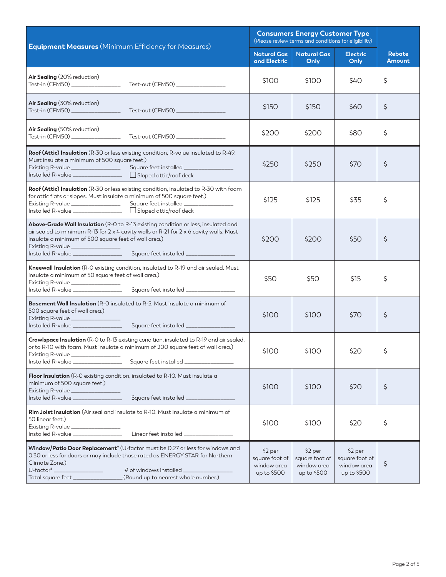|                                                                                                                                                                                                                                                                                                                                              | <b>Consumers Energy Customer Type</b><br>(Please review terms and conditions for eligibility) |                                                         |                                                         |                         |
|----------------------------------------------------------------------------------------------------------------------------------------------------------------------------------------------------------------------------------------------------------------------------------------------------------------------------------------------|-----------------------------------------------------------------------------------------------|---------------------------------------------------------|---------------------------------------------------------|-------------------------|
| <b>Equipment Measures</b> (Minimum Efficiency for Measures)                                                                                                                                                                                                                                                                                  | <b>Natural Gas</b><br>and Electric                                                            | <b>Natural Gas</b><br>Only                              | <b>Electric</b><br>Only                                 | <b>Rebate</b><br>Amount |
| Air Sealing (20% reduction)<br>Test-out (CFM50) _________________<br>Test-in (CFM50) __________________                                                                                                                                                                                                                                      | \$100                                                                                         | \$100                                                   | \$40                                                    | \$                      |
| Air Sealing (30% reduction)                                                                                                                                                                                                                                                                                                                  | \$150                                                                                         | \$150                                                   | \$60                                                    | \$                      |
| Air Sealing (50% reduction)                                                                                                                                                                                                                                                                                                                  | \$200                                                                                         | \$200                                                   | \$80                                                    | \$                      |
| Roof (Attic) Insulation (R-30 or less existing condition, R-value insulated to R-49.<br>Must insulate a minimum of 500 square feet.)<br>Installed R-value _________________ □ Sloped attic/roof deck                                                                                                                                         | \$250                                                                                         | \$250                                                   | \$70                                                    | \$                      |
| Roof (Attic) Insulation (R-30 or less existing condition, insulated to R-30 with foam<br>for attic flats or slopes. Must insulate a minimum of 500 square feet.)<br>Existing R-value _________________<br>Square feet installed ______________<br>Installed R-value __________________ □ Sloped attic/roof deck                              | \$125                                                                                         | \$125                                                   | \$35                                                    | \$                      |
| Above-Grade Wall Insulation (R-O to R-13 existing condition or less, insulated and<br>air sealed to minimum R-13 for 2 x 4 cavity walls or R-21 for 2 x 6 cavity walls. Must<br>insulate a minimum of 500 square feet of wall area.)<br>Existing R-value ________________                                                                    | \$200                                                                                         | \$200                                                   | \$50                                                    | \$                      |
| Kneewall Insulation (R-O existing condition, insulated to R-19 and air sealed. Must<br>insulate a minimum of 50 square feet of wall area.)<br>Existing R-value ________________<br>Square feet installed _________________<br>Installed R-value _________________                                                                            | \$50                                                                                          | \$50                                                    | \$15                                                    | \$                      |
| <b>Basement Wall Insulation</b> (R-O insulated to R-5. Must insulate a minimum of<br>500 square feet of wall area.)<br>Existing R-value ______________                                                                                                                                                                                       | \$100                                                                                         | \$100                                                   | \$70                                                    | \$                      |
| Crawlspace Insulation (R-O to R-13 existing condition, insulated to R-19 and air sealed,<br>or to R-10 with foam. Must insulate a minimum of 200 square feet of wall area.)<br>Existing R-value _______________<br>Installed R-value ___________________________Square feet installed ______________                                         | \$100                                                                                         | \$100                                                   | \$20                                                    | \$                      |
| Floor Insulation (R-O existing condition, insulated to R-10. Must insulate a<br>minimum of 500 square feet.)<br>Existing R-value<br>Installed R-value                                                                                                                                                                                        | \$100                                                                                         | \$100                                                   | \$20                                                    | \$                      |
| Rim Joist Insulation (Air seal and insulate to R-10. Must insulate a minimum of<br>50 linear feet.)<br>Existing R-value ________________                                                                                                                                                                                                     | \$100                                                                                         | \$100                                                   | \$20                                                    | \$                      |
| Window/Patio Door Replacement <sup>+</sup> (U-factor must be 0.27 or less for windows and<br>0.30 or less for doors or may include those rated as ENERGY STAR for Northern<br>Climate Zone.)<br>$U$ -factor <sup>#</sup><br># of windows installed _____________<br>(Round up to nearest whole number.)<br>Total square feet _______________ | \$2 per<br>square foot of<br>window area<br>up to \$500                                       | \$2 per<br>square foot of<br>window area<br>up to \$500 | \$2 per<br>square foot of<br>window area<br>up to \$500 | \$                      |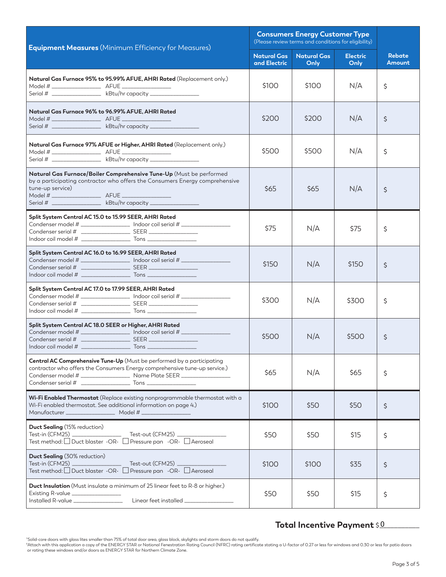| <b>Equipment Measures</b> (Minimum Efficiency for Measures)                                                                                                                                                                                  | <b>Consumers Energy Customer Type</b><br>(Please review terms and conditions for eligibility) |                            |                         |                                |
|----------------------------------------------------------------------------------------------------------------------------------------------------------------------------------------------------------------------------------------------|-----------------------------------------------------------------------------------------------|----------------------------|-------------------------|--------------------------------|
|                                                                                                                                                                                                                                              | <b>Natural Gas</b><br>and Electric                                                            | <b>Natural Gas</b><br>Only | <b>Electric</b><br>Only | <b>Rebate</b><br><b>Amount</b> |
| Natural Gas Furnace 95% to 95.99% AFUE, AHRI Rated (Replacement only.)<br>Serial # ____________________ kBtu/hr capacity ___________________                                                                                                 | \$100                                                                                         | \$100                      | N/A                     | \$                             |
| Natural Gas Furnace 96% to 96.99% AFUE, AHRI Rated                                                                                                                                                                                           |                                                                                               |                            |                         |                                |
| Model # ___________________________ AFUE _<br><u> 1970 - Johann Barnett, fransk konge</u><br>Serial # ___________________ kBtu/hr capacity ___________________                                                                               | \$200                                                                                         | \$200                      | N/A                     | \$                             |
| Natural Gas Furnace 97% AFUE or Higher, AHRI Rated (Replacement only.)<br>Serial # __________________ kBtu/hr capacity _________________                                                                                                     | \$500                                                                                         | \$500                      | N/A                     | \$                             |
| Natural Gas Furnace/Boiler Comprehensive Tune-Up (Must be performed<br>by a participating contractor who offers the Consumers Energy comprehensive<br>tune-up service)<br>Serial # ____________________ kBtu/hr capacity ___________________ | \$65                                                                                          | \$65                       | N/A                     | \$                             |
| Split System Central AC 15.0 to 15.99 SEER, AHRI Rated<br>Condenser model # ___________________ Indoor coil serial # _____________________                                                                                                   | \$75                                                                                          | N/A                        | \$75                    | \$                             |
| Split System Central AC 16.0 to 16.99 SEER, AHRI Rated<br>Condenser model # _________________ Indoor coil serial # _______________________                                                                                                   | \$150                                                                                         | N/A                        | \$150                   | \$                             |
| Split System Central AC 17.0 to 17.99 SEER, AHRI Rated<br>Condenser model # ___________________ Indoor coil serial # ____________________                                                                                                    | \$300                                                                                         | N/A                        | \$300                   | \$                             |
| Split System Central AC 18.0 SEER or Higher, AHRI Rated<br>Condenser model # ___________________ Indoor coil serial # _____________________                                                                                                  | \$500                                                                                         | N/A                        | \$500                   | \$                             |
| Central AC Comprehensive Tune-Up (Must be performed by a participating<br>contractor who offers the Consumers Energy comprehensive tune-up service.)<br>Condenser model # __________________________ Name Plate SEER ___________________     | \$65                                                                                          | N/A                        | \$65                    | \$                             |
| Wi-Fi Enabled Thermostat (Replace existing nonprogrammable thermostat with a<br>Wi-Fi enabled thermostat. See additional information on page 4.)<br>Manufacturer ________________________ Model # ____________________                       | \$100                                                                                         | \$50                       | \$50                    | \$                             |
| <b>Duct Sealing</b> (15% reduction)<br>Test method: □ Duct blaster -OR- □ Pressure pan -OR- □ Aeroseal                                                                                                                                       | \$50                                                                                          | \$50                       | \$15                    | \$                             |
| <b>Duct Sealing (30% reduction)</b><br>Test method: □ Duct blaster -OR- □ Pressure pan -OR- □ Aeroseal                                                                                                                                       | \$100                                                                                         | \$100                      | \$35                    | \$                             |
| <b>Duct Insulation</b> (Must insulate a minimum of 25 linear feet to R-8 or higher.)<br>Existing R-value ________________                                                                                                                    | \$50                                                                                          | \$50                       | \$15                    | \$                             |

## Total Incentive Payment \$<u>0\_\_\_\_\_\_</u>\_\_

"Solid-core doors with glass lites smaller than 75% of total door area, glass block, skylights and storm doors do not qualify.<br>"Attach with this application a copy of the ENERGY STAR or National Fenestration Rating Council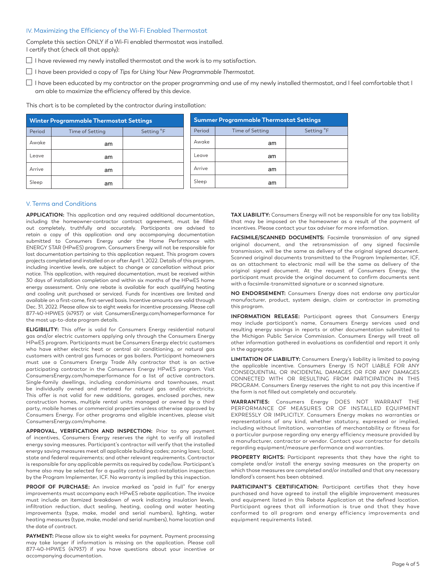#### IV. Maximizing the Efficiency of the Wi-Fi Enabled Thermostat

Complete this section ONLY if a Wi-Fi enabled thermostat was installed. I certify that (check all that apply):

 $\Box$  I have reviewed my newly installed thermostat and the work is to my satisfaction.

I have been provided a copy of *Tips for Using Your New Programmable Thermostat*.

 $\Box$  I have been educated by my contractor on the proper programming and use of my newly installed thermostat, and I feel comfortable that I am able to maximize the efficiency offered by this device.

This chart is to be completed by the contractor during installation:

| <b>Winter Programmable Thermostat Settings</b> |                 |                        | Summer Programmable Thermostat Settings |                 |                        |  |
|------------------------------------------------|-----------------|------------------------|-----------------------------------------|-----------------|------------------------|--|
| Period                                         | Time of Setting | Setting <sup>°</sup> F | Period                                  | Time of Setting | Setting <sup>°</sup> F |  |
| Awake                                          | am              |                        | Awake                                   | am              |                        |  |
| Leave                                          | am              |                        | Leave                                   | am              |                        |  |
| Arrive                                         | am              |                        | Arrive                                  | am              |                        |  |
| Sleep                                          | am              |                        | Sleep                                   | am              |                        |  |

#### V. Terms and Conditions

**APPLICATION:** This application and any required additional documentation, including the homeowner-contractor contract agreement, must be filled out completely, truthfully and accurately. Participants are advised to retain a copy of this application and any accompanying documentation submitted to Consumers Energy under the Home Performance with ENERGY STAR (HPwES) program. Consumers Energy will not be responsible for lost documentation pertaining to this application request. This program covers projects completed and installed on or after April 1, 2022. Details of this program, including incentive levels, are subject to change or cancellation without prior notice. This application, with required documentation, must be received within 30 days of installation completion and within six months of the HPwES home energy assessment. Only one rebate is available for each qualifying heating and cooling unit purchased or serviced. Funds for incentives are limited and available on a first-come, first-served basis. Incentive amounts are valid through Dec. 31, 2022. Please allow six to eight weeks for incentive processing. Please call 877-40-HPWES (47937) or visit [ConsumersEnergy.com/homeperformance](http://ConsumersEnergy.com/homeperformance) for the most up-to-date program details.

**ELIGIBILITY:** This offer is valid for Consumers Energy residential natural gas and/or electric customers applying only through the Consumers Energy HPwES program. Participants must be Consumers Energy electric customers who have either electric heat or central air conditioning, or natural gas customers with central gas furnaces or gas boilers. Participant homeowners must use a Consumers Energy Trade Ally contractor that is an active participating contractor in the Consumers Energy HPwES program. Visit [ConsumersEnergy.com/homeperformance](http://ConsumersEnergy.com/homeperformance) for a list of active contractors. Single-family dwellings, including condominiums and townhouses, must be individually owned and metered for natural gas and/or electricity. This offer is not valid for new additions, garages, enclosed porches, new construction homes, multiple rental units managed or owned by a third party, mobile homes or commercial properties unless otherwise approved by Consumers Energy. For other programs and eligible incentives, please visit [ConsumersEnergy.com/myhome.](http://ConsumersEnergy.com/myhome)

**APPROVAL, VERIFICATION AND INSPECTION:** Prior to any payment of incentives, Consumers Energy reserves the right to verify all installed energy saving measures. Participant's contractor will verify that the installed energy saving measures meet all applicable building codes; zoning laws; local, state and federal requirements; and other relevant requirements. Contractor is responsible for any applicable permits as required by code/law. Participant's home also may be selected for a quality control post-installation inspection by the Program Implementer, ICF. No warranty is implied by this inspection.

**PROOF OF PURCHASE:** An invoice marked as "paid in full" for energy improvements must accompany each HPwES rebate application. The invoice must include an itemized breakdown of work indicating insulation levels, infiltration reduction, duct sealing, heating, cooling and water heating improvements (type, make, model and serial numbers), lighting, water heating measures (type, make, model and serial numbers), home location and the date of contract.

PAYMENT: Please allow six to eight weeks for payment. Payment processing may take longer if information is missing on the application. Please call 877-40-HPWES (47937) if you have questions about your incentive or accompanying documentation.

**TAX LIABILITY:** Consumers Energy will not be responsible for any tax liability that may be imposed on the homeowner as a result of the payment of incentives. Please contact your tax adviser for more information.

**FACSIMILE/SCANNED DOCUMENTS:** Facsimile transmission of any signed original document, and the retransmission of any signed facsimile transmission, will be the same as delivery of the original signed document. Scanned original documents transmitted to the Program Implementer, ICF, as an attachment to electronic mail will be the same as delivery of the original signed document. At the request of Consumers Energy, the participant must provide the original document to confirm documents sent with a facsimile-transmitted signature or a scanned signature.

**NO ENDORSEMENT:** Consumers Energy does not endorse any particular manufacturer, product, system design, claim or contractor in promoting this program.

**INFORMATION RELEASE:** Participant agrees that Consumers Energy may include participant's name, Consumers Energy services used and resulting energy savings in reports or other documentation submitted to the Michigan Public Service Commission. Consumers Energy will treat all other information gathered in evaluations as confidential and report it only in the aggregate.

**LIMITATION OF LIABILITY:** Consumers Energy's liability is limited to paying the applicable incentive. Consumers Energy IS NOT LIABLE FOR ANY CONSEQUENTIAL OR INCIDENTAL DAMAGES OR FOR ANY DAMAGES CONNECTED WITH OR RESULTING FROM PARTICIPATION IN THIS PROGRAM. Consumers Energy reserves the right to not pay this incentive if the form is not filled out completely and accurately.

**WARRANTIES:** Consumers Energy DOES NOT WARRANT THE PERFORMANCE OF MEASURES OR OF INSTALLED EQUIPMENT EXPRESSLY OR IMPLICITLY. Consumers Energy makes no warranties or representations of any kind, whether statutory, expressed or implied, including without limitation, warranties of merchantability or fitness for a particular purpose regarding any energy efficiency measure provided by a manufacturer, contractor or vendor. Contact your contractor for details regarding equipment/measure performance and warranties.

**PROPERTY RIGHTS:** Participant represents that they have the right to complete and/or install the energy saving measures on the property on which those measures are completed and/or installed and that any necessary landlord's consent has been obtained.

**PARTICIPANT'S CERTIFICATION:** Participant certifies that they have purchased and have agreed to install the eligible improvement measures and equipment listed in this Rebate Application at the defined location. Participant agrees that all information is true and that they have conformed to all program and energy efficiency improvements and equipment requirements listed.